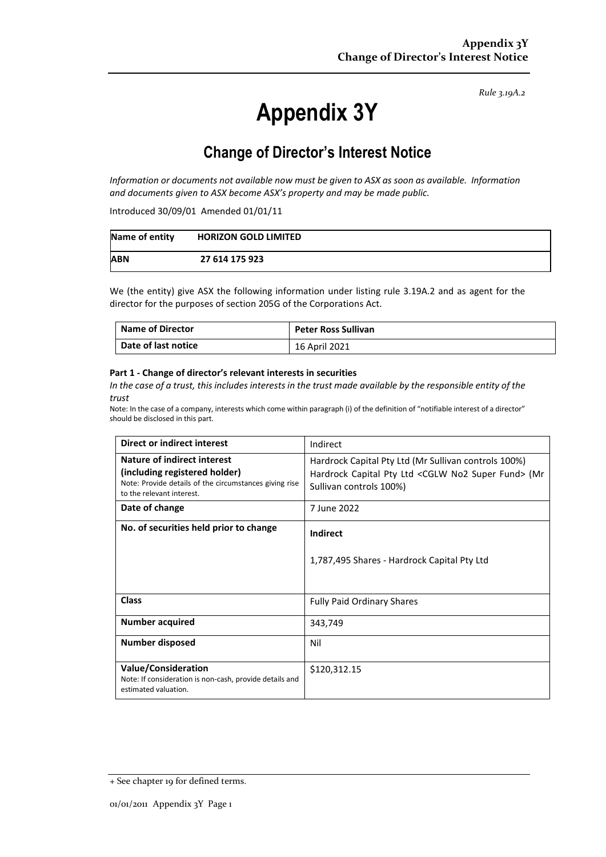# **Appendix 3Y**

## **Change of Director's Interest Notice**

*Information or documents not available now must be given to ASX as soon as available. Information and documents given to ASX become ASX's property and may be made public.*

Introduced 30/09/01 Amended 01/01/11

| Name of entity | <b>HORIZON GOLD LIMITED</b> |
|----------------|-----------------------------|
| <b>ABN</b>     | 27 614 175 923              |

We (the entity) give ASX the following information under listing rule 3.19A.2 and as agent for the director for the purposes of section 205G of the Corporations Act.

| <b>Name of Director</b> | <b>Peter Ross Sullivan</b> |
|-------------------------|----------------------------|
| Date of last notice     | 16 April 2021              |

#### **Part 1 - Change of director's relevant interests in securities**

*In the case of a trust, this includes interests in the trust made available by the responsible entity of the trust*

| Direct or indirect interest                                                                                                                                | Indirect                                                                                                                                               |  |
|------------------------------------------------------------------------------------------------------------------------------------------------------------|--------------------------------------------------------------------------------------------------------------------------------------------------------|--|
| <b>Nature of indirect interest</b><br>(including registered holder)<br>Note: Provide details of the circumstances giving rise<br>to the relevant interest. | Hardrock Capital Pty Ltd (Mr Sullivan controls 100%)<br>Hardrock Capital Pty Ltd <cglw fund="" no2="" super=""> (Mr<br/>Sullivan controls 100%)</cglw> |  |
| Date of change                                                                                                                                             | 7 June 2022                                                                                                                                            |  |
| No. of securities held prior to change                                                                                                                     | Indirect<br>1,787,495 Shares - Hardrock Capital Pty Ltd                                                                                                |  |
| <b>Class</b>                                                                                                                                               | <b>Fully Paid Ordinary Shares</b>                                                                                                                      |  |
| <b>Number acquired</b>                                                                                                                                     | 343,749                                                                                                                                                |  |
| Number disposed                                                                                                                                            | Nil                                                                                                                                                    |  |
| <b>Value/Consideration</b><br>Note: If consideration is non-cash, provide details and<br>estimated valuation.                                              | \$120,312.15                                                                                                                                           |  |

<sup>+</sup> See chapter 19 for defined terms.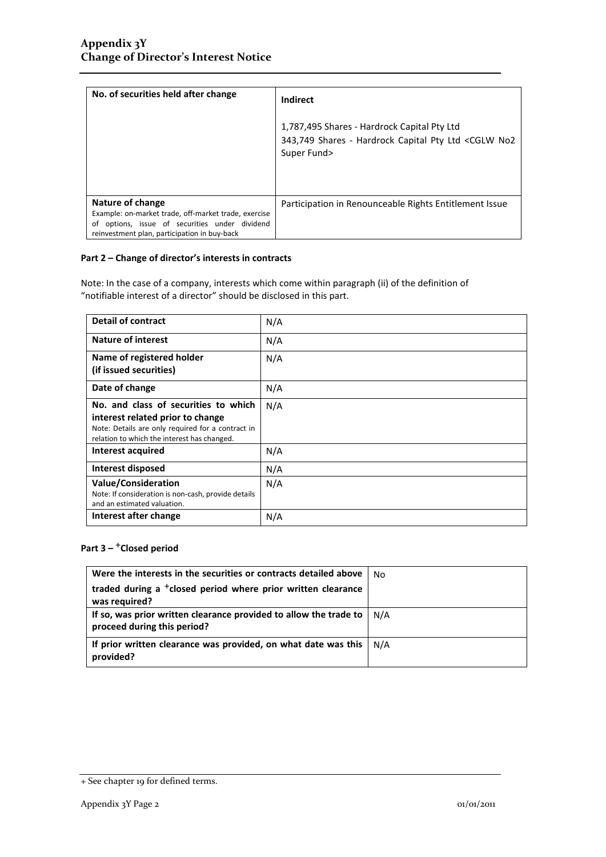| No. of securities held after change                                                                                                                                           | Indirect                                                                                                                       |
|-------------------------------------------------------------------------------------------------------------------------------------------------------------------------------|--------------------------------------------------------------------------------------------------------------------------------|
|                                                                                                                                                                               | 1,787,495 Shares - Hardrock Capital Pty Ltd<br>343,749 Shares - Hardrock Capital Pty Ltd <cglw no2<br="">Super Fund&gt;</cglw> |
| Nature of change<br>Example: on-market trade, off-market trade, exercise<br>options, issue of securities under dividend<br>ot<br>reinvestment plan, participation in buy-back | Participation in Renounceable Rights Entitlement Issue                                                                         |

Note: In the case of a company, interests which come within paragraph (ii) of the definition of "notifiable interest of a director" should be disclosed in this part.

| <b>Detail of contract</b>                           | N/A |
|-----------------------------------------------------|-----|
| <b>Nature of interest</b>                           | N/A |
| Name of registered holder                           | N/A |
| (if issued securities)                              |     |
| Date of change                                      | N/A |
| No. and class of securities to which                | N/A |
| interest related prior to change                    |     |
| Note: Details are only required for a contract in   |     |
| relation to which the interest has changed.         |     |
| <b>Interest acquired</b>                            | N/A |
| Interest disposed                                   | N/A |
| <b>Value/Consideration</b>                          | N/A |
| Note: If consideration is non-cash, provide details |     |
| and an estimated valuation.                         |     |
| Interest after change                               | N/A |

### **Part 3 –** +**Closed period**

| Were the interests in the securities or contracts detailed above                                 | No  |
|--------------------------------------------------------------------------------------------------|-----|
| traded during a <sup>+</sup> closed period where prior written clearance<br>was required?        |     |
| If so, was prior written clearance provided to allow the trade to<br>proceed during this period? | N/A |
| If prior written clearance was provided, on what date was this<br>provided?                      | N/A |

<sup>+</sup> See chapter 19 for defined terms.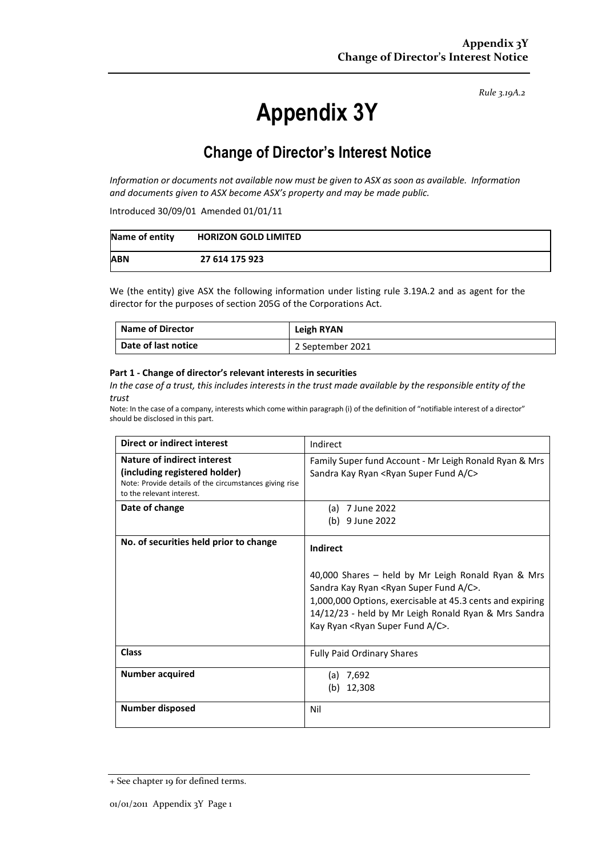# **Appendix 3Y**

## **Change of Director's Interest Notice**

*Information or documents not available now must be given to ASX as soon as available. Information and documents given to ASX become ASX's property and may be made public.*

Introduced 30/09/01 Amended 01/01/11

| Name of entity | <b>HORIZON GOLD LIMITED</b> |
|----------------|-----------------------------|
| <b>ABN</b>     | 27 614 175 923              |

We (the entity) give ASX the following information under listing rule 3.19A.2 and as agent for the director for the purposes of section 205G of the Corporations Act.

| <b>Name of Director</b> | Leigh RYAN       |
|-------------------------|------------------|
| Date of last notice     | 2 September 2021 |

#### **Part 1 - Change of director's relevant interests in securities**

*In the case of a trust, this includes interests in the trust made available by the responsible entity of the trust*

| Direct or indirect interest                                                                                                                                | Indirect                                                                                                                                                                                                                                                                                                      |  |
|------------------------------------------------------------------------------------------------------------------------------------------------------------|---------------------------------------------------------------------------------------------------------------------------------------------------------------------------------------------------------------------------------------------------------------------------------------------------------------|--|
| <b>Nature of indirect interest</b><br>(including registered holder)<br>Note: Provide details of the circumstances giving rise<br>to the relevant interest. | Family Super fund Account - Mr Leigh Ronald Ryan & Mrs<br>Sandra Kay Ryan <ryan a="" c="" fund="" super=""></ryan>                                                                                                                                                                                            |  |
| Date of change                                                                                                                                             | (a) 7 June 2022<br>(b) 9 June 2022                                                                                                                                                                                                                                                                            |  |
| No. of securities held prior to change                                                                                                                     | Indirect<br>40,000 Shares - held by Mr Leigh Ronald Ryan & Mrs<br>Sandra Kay Ryan <ryan a="" c="" fund="" super="">.<br/>1,000,000 Options, exercisable at 45.3 cents and expiring<br/>14/12/23 - held by Mr Leigh Ronald Ryan &amp; Mrs Sandra<br/>Kay Ryan <ryan a="" c="" fund="" super="">.</ryan></ryan> |  |
| <b>Class</b>                                                                                                                                               | <b>Fully Paid Ordinary Shares</b>                                                                                                                                                                                                                                                                             |  |
| Number acquired                                                                                                                                            | (a) $7,692$<br>(b) $12,308$                                                                                                                                                                                                                                                                                   |  |
| <b>Number disposed</b>                                                                                                                                     | Nil                                                                                                                                                                                                                                                                                                           |  |

<sup>+</sup> See chapter 19 for defined terms.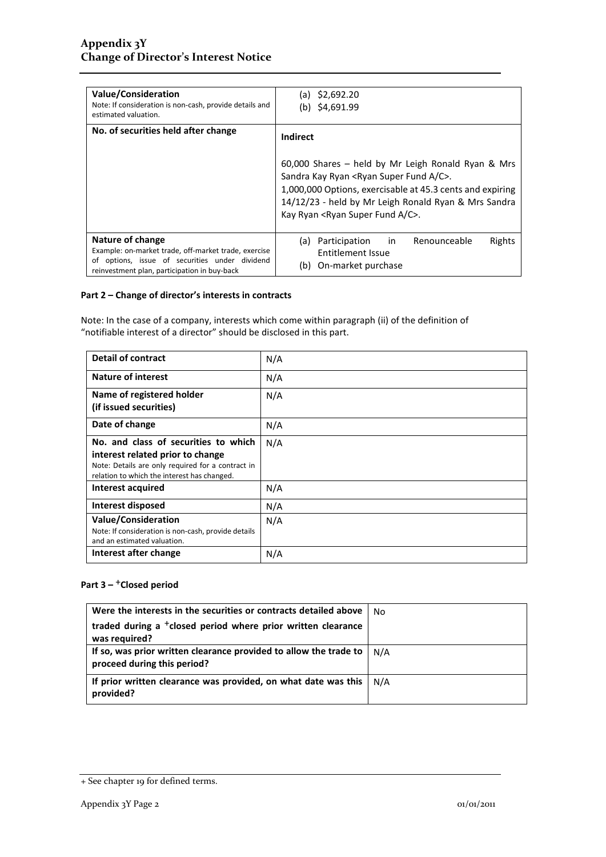| <b>Value/Consideration</b><br>Note: If consideration is non-cash, provide details and<br>estimated valuation.                                                              | \$2,692.20<br>(a)<br>\$4,691.99<br>(b)                                                                                                                                  |  |  |
|----------------------------------------------------------------------------------------------------------------------------------------------------------------------------|-------------------------------------------------------------------------------------------------------------------------------------------------------------------------|--|--|
| No. of securities held after change                                                                                                                                        | Indirect                                                                                                                                                                |  |  |
|                                                                                                                                                                            | 60,000 Shares - held by Mr Leigh Ronald Ryan & Mrs<br>Sandra Kay Ryan <ryan a="" c="" fund="" super="">.</ryan>                                                         |  |  |
|                                                                                                                                                                            | 1,000,000 Options, exercisable at 45.3 cents and expiring<br>14/12/23 - held by Mr Leigh Ronald Ryan & Mrs Sandra<br>Kay Ryan <ryan a="" c="" fund="" super="">.</ryan> |  |  |
| Nature of change<br>Example: on-market trade, off-market trade, exercise<br>of options, issue of securities under dividend<br>reinvestment plan, participation in buy-back | in<br>Renounceable<br>Rights<br>Participation<br>(a)<br>Entitlement Issue<br>On-market purchase<br>(b)                                                                  |  |  |

Note: In the case of a company, interests which come within paragraph (ii) of the definition of "notifiable interest of a director" should be disclosed in this part.

| <b>Detail of contract</b>                                                                                                                                                    | N/A |
|------------------------------------------------------------------------------------------------------------------------------------------------------------------------------|-----|
| <b>Nature of interest</b>                                                                                                                                                    | N/A |
| Name of registered holder<br>(if issued securities)                                                                                                                          | N/A |
| Date of change                                                                                                                                                               | N/A |
| No. and class of securities to which<br>interest related prior to change<br>Note: Details are only required for a contract in<br>relation to which the interest has changed. | N/A |
| Interest acquired                                                                                                                                                            | N/A |
| Interest disposed                                                                                                                                                            | N/A |
| <b>Value/Consideration</b><br>Note: If consideration is non-cash, provide details<br>and an estimated valuation.                                                             | N/A |
| Interest after change                                                                                                                                                        | N/A |

### Part 3 – <sup>+</sup>Closed period

| Were the interests in the securities or contracts detailed above                                 | No  |
|--------------------------------------------------------------------------------------------------|-----|
| traded during a <sup>+</sup> closed period where prior written clearance<br>was required?        |     |
| If so, was prior written clearance provided to allow the trade to<br>proceed during this period? | N/A |
| If prior written clearance was provided, on what date was this<br>provided?                      | N/A |

<sup>+</sup> See chapter 19 for defined terms.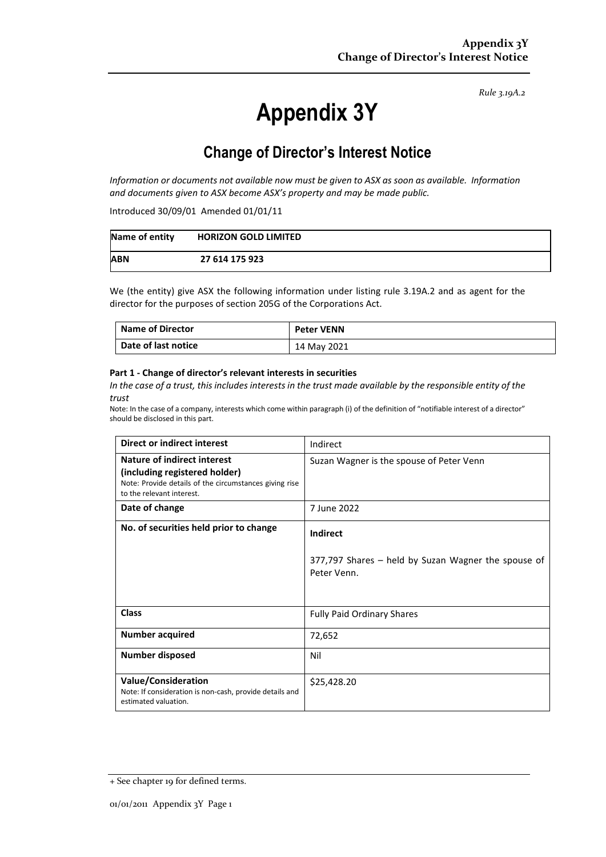# **Appendix 3Y**

## **Change of Director's Interest Notice**

*Information or documents not available now must be given to ASX as soon as available. Information and documents given to ASX become ASX's property and may be made public.*

Introduced 30/09/01 Amended 01/01/11

| Name of entity | <b>HORIZON GOLD LIMITED</b> |
|----------------|-----------------------------|
| <b>ABN</b>     | 27 614 175 923              |

We (the entity) give ASX the following information under listing rule 3.19A.2 and as agent for the director for the purposes of section 205G of the Corporations Act.

| <b>Name of Director</b> | <b>Peter VENN</b> |
|-------------------------|-------------------|
| Date of last notice     | 14 May 2021       |

#### **Part 1 - Change of director's relevant interests in securities**

*In the case of a trust, this includes interests in the trust made available by the responsible entity of the trust*

| Direct or indirect interest                                                                                                                         | Indirect                                                                              |  |
|-----------------------------------------------------------------------------------------------------------------------------------------------------|---------------------------------------------------------------------------------------|--|
| Nature of indirect interest<br>(including registered holder)<br>Note: Provide details of the circumstances giving rise<br>to the relevant interest. | Suzan Wagner is the spouse of Peter Venn                                              |  |
| Date of change                                                                                                                                      | 7 June 2022                                                                           |  |
| No. of securities held prior to change                                                                                                              | <b>Indirect</b><br>377,797 Shares - held by Suzan Wagner the spouse of<br>Peter Venn. |  |
| <b>Class</b>                                                                                                                                        | <b>Fully Paid Ordinary Shares</b>                                                     |  |
| <b>Number acquired</b>                                                                                                                              | 72,652                                                                                |  |
| <b>Number disposed</b>                                                                                                                              | Nil                                                                                   |  |
| <b>Value/Consideration</b><br>Note: If consideration is non-cash, provide details and<br>estimated valuation.                                       | \$25,428.20                                                                           |  |

<sup>+</sup> See chapter 19 for defined terms.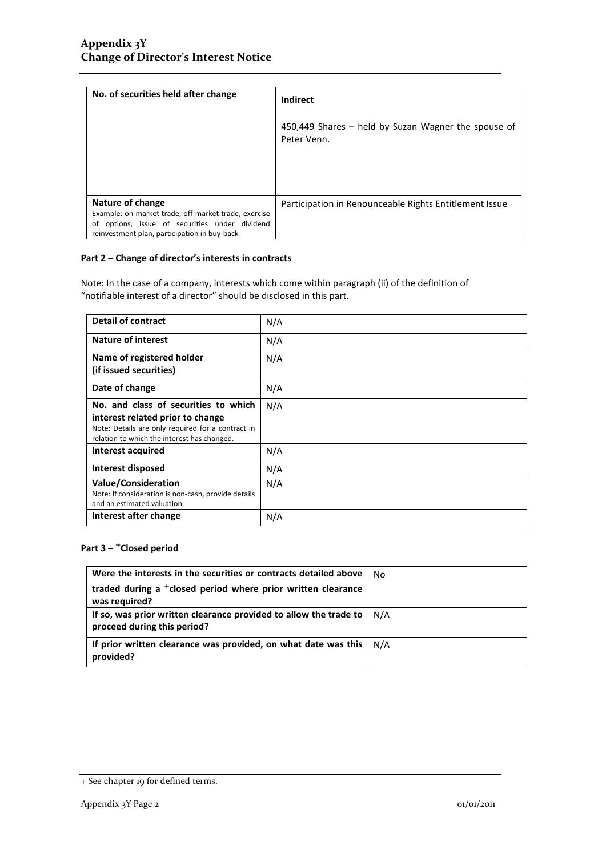| No. of securities held after change                                                                                                                                        | Indirect                                                           |
|----------------------------------------------------------------------------------------------------------------------------------------------------------------------------|--------------------------------------------------------------------|
|                                                                                                                                                                            | 450,449 Shares – held by Suzan Wagner the spouse of<br>Peter Venn. |
|                                                                                                                                                                            |                                                                    |
| Nature of change<br>Example: on-market trade, off-market trade, exercise<br>of options, issue of securities under dividend<br>reinvestment plan, participation in buy-back | Participation in Renounceable Rights Entitlement Issue             |

Note: In the case of a company, interests which come within paragraph (ii) of the definition of "notifiable interest of a director" should be disclosed in this part.

| <b>Detail of contract</b>                           | N/A |
|-----------------------------------------------------|-----|
| <b>Nature of interest</b>                           | N/A |
| Name of registered holder                           | N/A |
| (if issued securities)                              |     |
| Date of change                                      | N/A |
| No. and class of securities to which                | N/A |
| interest related prior to change                    |     |
| Note: Details are only required for a contract in   |     |
| relation to which the interest has changed.         |     |
| <b>Interest acquired</b>                            | N/A |
| Interest disposed                                   | N/A |
| <b>Value/Consideration</b>                          | N/A |
| Note: If consideration is non-cash, provide details |     |
| and an estimated valuation.                         |     |
| Interest after change                               | N/A |

### **Part 3 –** +**Closed period**

| Were the interests in the securities or contracts detailed above                                 | No  |
|--------------------------------------------------------------------------------------------------|-----|
| traded during a <sup>+</sup> closed period where prior written clearance<br>was required?        |     |
| If so, was prior written clearance provided to allow the trade to<br>proceed during this period? | N/A |
| If prior written clearance was provided, on what date was this<br>provided?                      | N/A |

<sup>+</sup> See chapter 19 for defined terms.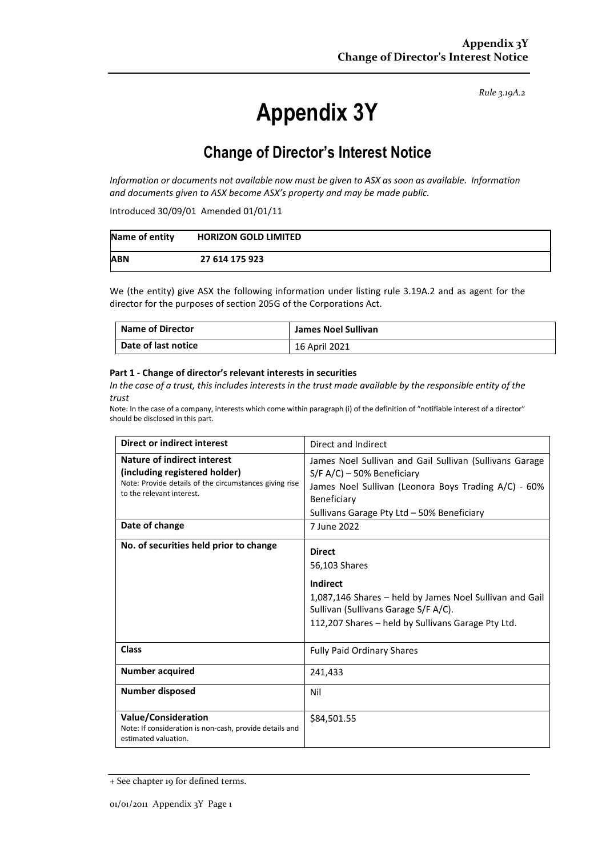# **Appendix 3Y**

## **Change of Director's Interest Notice**

*Information or documents not available now must be given to ASX as soon as available. Information and documents given to ASX become ASX's property and may be made public.*

Introduced 30/09/01 Amended 01/01/11

| Name of entity | <b>HORIZON GOLD LIMITED</b> |
|----------------|-----------------------------|
| <b>ABN</b>     | 27 614 175 923              |

We (the entity) give ASX the following information under listing rule 3.19A.2 and as agent for the director for the purposes of section 205G of the Corporations Act.

| <b>Name of Director</b> | James Noel Sullivan |
|-------------------------|---------------------|
| Date of last notice     | 16 April 2021       |

#### **Part 1 - Change of director's relevant interests in securities**

*In the case of a trust, this includes interests in the trust made available by the responsible entity of the trust*

| <b>Direct or indirect interest</b>                                                                                                                         | Direct and Indirect                                                                                                                                                                                           |  |
|------------------------------------------------------------------------------------------------------------------------------------------------------------|---------------------------------------------------------------------------------------------------------------------------------------------------------------------------------------------------------------|--|
| <b>Nature of indirect interest</b><br>(including registered holder)<br>Note: Provide details of the circumstances giving rise<br>to the relevant interest. | James Noel Sullivan and Gail Sullivan (Sullivans Garage<br>$S/F A/C$ ) – 50% Beneficiary<br>James Noel Sullivan (Leonora Boys Trading A/C) - 60%<br>Beneficiary<br>Sullivans Garage Pty Ltd - 50% Beneficiary |  |
| Date of change                                                                                                                                             | 7 June 2022                                                                                                                                                                                                   |  |
| No. of securities held prior to change                                                                                                                     | <b>Direct</b><br>56,103 Shares<br>Indirect<br>1,087,146 Shares – held by James Noel Sullivan and Gail<br>Sullivan (Sullivans Garage S/F A/C).<br>112,207 Shares - held by Sullivans Garage Pty Ltd.           |  |
| <b>Class</b>                                                                                                                                               | <b>Fully Paid Ordinary Shares</b>                                                                                                                                                                             |  |
| <b>Number acquired</b>                                                                                                                                     | 241,433                                                                                                                                                                                                       |  |
| <b>Number disposed</b>                                                                                                                                     | Nil                                                                                                                                                                                                           |  |
| <b>Value/Consideration</b><br>Note: If consideration is non-cash, provide details and<br>estimated valuation.                                              | \$84,501.55                                                                                                                                                                                                   |  |

<sup>+</sup> See chapter 19 for defined terms.